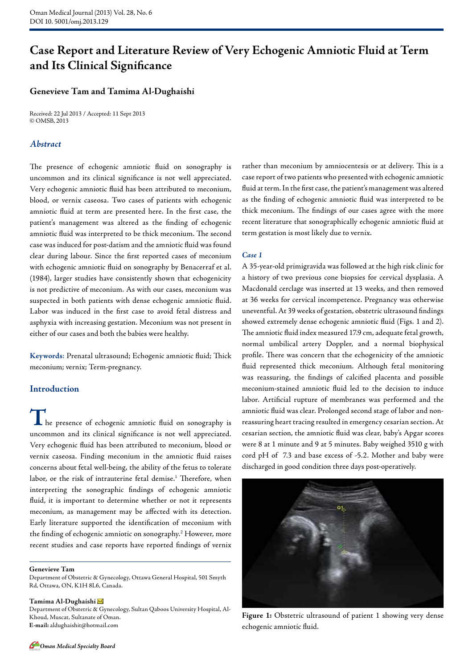# **Case Report and Literature Review of Very Echogenic Amniotic Fluid at Term and Its Clinical Significance**

# **Genevieve Tam and Tamima Al-Dughaishi**

Received: 22 Jul 2013 / Accepted: 11 Sept 2013 © OMSB, 2013

# *Abstract*

The presence of echogenic amniotic fluid on sonography is uncommon and its clinical significance is not well appreciated. Very echogenic amniotic fluid has been attributed to meconium, blood, or vernix caseosa. Two cases of patients with echogenic amniotic fluid at term are presented here. In the first case, the patient's management was altered as the finding of echogenic amniotic fluid was interpreted to be thick meconium. The second case was induced for post-datism and the amniotic fluid was found clear during labour. Since the first reported cases of meconium with echogenic amniotic fluid on sonography by Benacerraf et al. (1984), larger studies have consistently shown that echogenicity is not predictive of meconium. As with our cases, meconium was suspected in both patients with dense echogenic amniotic fluid. Labor was induced in the first case to avoid fetal distress and asphyxia with increasing gestation. Meconium was not present in either of our cases and both the babies were healthy.

**Keywords**: Prenatal ultrasound; Echogenic amniotic fluid; Thick meconium; vernix; Term-pregnancy.

## **Introduction**

**T**he presence of echogenic amniotic fluid on sonography is uncommon and its clinical significance is not well appreciated. Very echogenic fluid has been attributed to meconium, blood or vernix caseosa. Finding meconium in the amniotic fluid raises concerns about fetal well-being, the ability of the fetus to tolerate labor, or the risk of intrauterine fetal demise.<sup>1</sup> Therefore, when interpreting the sonographic findings of echogenic amniotic fluid, it is important to determine whether or not it represents meconium, as management may be affected with its detection. Early literature supported the identification of meconium with the finding of echogenic amniotic on sonography.2 However, more recent studies and case reports have reported findings of vernix

#### **Genevieve Tam**

Department of Obstetric & Gynecology, Ottawa General Hospital, 501 Smyth Rd, Ottawa, ON, K1H 8L6, Canada.

#### **Tamima Al-Dughaishi**

Department of Obstetric & Gynecology, Sultan Qaboos University Hospital, Al-Khoud, Muscat, Sultanate of Oman. **E-mail:** aldughaishit@hotmail.com

rather than meconium by amniocentesis or at delivery. This is a case report of two patients who presented with echogenic amniotic fluid at term. In the first case, the patient's management was altered as the finding of echogenic amniotic fluid was interpreted to be thick meconium. The findings of our cases agree with the more recent literature that sonographically echogenic amniotic fluid at term gestation is most likely due to vernix.

#### *Case 1*

A 35-year-old primigravida was followed at the high risk clinic for a history of two previous cone biopsies for cervical dysplasia. A Macdonald cerclage was inserted at 13 weeks, and then removed at 36 weeks for cervical incompetence. Pregnancy was otherwise uneventful. At 39 weeks of gestation, obstetric ultrasound findings showed extremely dense echogenic amniotic fluid (Figs. 1 and 2). The amniotic fluid index measured 17.9 cm, adequate fetal growth, normal umbilical artery Doppler, and a normal biophysical profile. There was concern that the echogenicity of the amniotic fluid represented thick meconium. Although fetal monitoring was reassuring, the findings of calcified placenta and possible meconium-stained amniotic fluid led to the decision to induce labor. Artificial rupture of membranes was performed and the amniotic fluid was clear. Prolonged second stage of labor and nonreassuring heart tracing resulted in emergency cesarian section. At cesarian section, the amniotic fluid was clear, baby's Apgar scores were 8 at 1 minute and 9 at 5 minutes. Baby weighed 3510 g with cord pH of 7.3 and base excess of -5.2. Mother and baby were discharged in good condition three days post-operatively.



**Figure 1:** Obstetric ultrasound of patient 1 showing very dense echogenic amniotic fluid.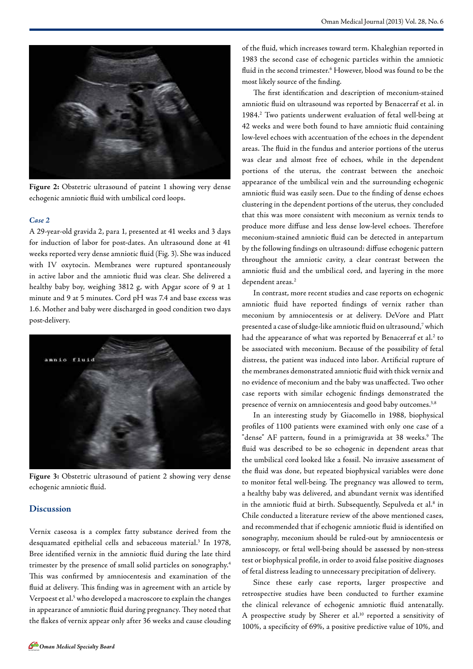

**Figure 2:** Obstetric ultrasound of pateint 1 showing very dense echogenic amniotic fluid with umbilical cord loops.

#### *Case 2*

A 29-year-old gravida 2, para 1, presented at 41 weeks and 3 days for induction of labor for post-dates. An ultrasound done at 41 weeks reported very dense amniotic fluid (Fig. 3). She was induced with IV oxytocin. Membranes were ruptured spontaneously in active labor and the amniotic fluid was clear. She delivered a healthy baby boy, weighing 3812 g, with Apgar score of 9 at 1 minute and 9 at 5 minutes. Cord pH was 7.4 and base excess was 1.6. Mother and baby were discharged in good condition two days post-delivery.



**Figure 3:** Obstetric ultrasound of patient 2 showing very dense echogenic amniotic fluid.

## **Discussion**

Vernix caseosa is a complex fatty substance derived from the desquamated epithelial cells and sebaceous material.3 In 1978, Bree identified vernix in the amniotic fluid during the late third trimester by the presence of small solid particles on sonography.4 This was confirmed by amniocentesis and examination of the fluid at delivery. This finding was in agreement with an article by Verpoest et al.<sup>5</sup> who developed a macroscore to explain the changes in appearance of amniotic fluid during pregnancy. They noted that the flakes of vernix appear only after 36 weeks and cause clouding

of the fluid, which increases toward term. Khaleghian reported in 1983 the second case of echogenic particles within the amniotic fluid in the second trimester.<sup>6</sup> However, blood was found to be the most likely source of the finding.

The first identification and description of meconium-stained amniotic fluid on ultrasound was reported by Benacerraf et al. in 1984.2 Two patients underwent evaluation of fetal well-being at 42 weeks and were both found to have amniotic fluid containing low-level echoes with accentuation of the echoes in the dependent areas. The fluid in the fundus and anterior portions of the uterus was clear and almost free of echoes, while in the dependent portions of the uterus, the contrast between the anechoic appearance of the umbilical vein and the surrounding echogenic amniotic fluid was easily seen. Due to the finding of dense echoes clustering in the dependent portions of the uterus, they concluded that this was more consistent with meconium as vernix tends to produce more diffuse and less dense low-level echoes. Therefore meconium-stained amniotic fluid can be detected in antepartum by the following findings on ultrasound: diffuse echogenic pattern throughout the amniotic cavity, a clear contrast between the amniotic fluid and the umbilical cord, and layering in the more dependent areas.<sup>2</sup>

In contrast, more recent studies and case reports on echogenic amniotic fluid have reported findings of vernix rather than meconium by amniocentesis or at delivery. DeVore and Platt presented a case of sludge-like amniotic fluid on ultrasound,7 which had the appearance of what was reported by Benacerraf et al.<sup>2</sup> to be associated with meconium. Because of the possibility of fetal distress, the patient was induced into labor. Artificial rupture of the membranes demonstrated amniotic fluid with thick vernix and no evidence of meconium and the baby was unaffected. Two other case reports with similar echogenic findings demonstrated the presence of vernix on amniocentesis and good baby outcomes.<sup>3,8</sup>

In an interesting study by Giacomello in 1988, biophysical profiles of 1100 patients were examined with only one case of a "dense" AF pattern, found in a primigravida at 38 weeks.<sup>9</sup> The fluid was described to be so echogenic in dependent areas that the umbilical cord looked like a fossil. No invasive assessment of the fluid was done, but repeated biophysical variables were done to monitor fetal well-being. The pregnancy was allowed to term, a healthy baby was delivered, and abundant vernix was identified in the amniotic fluid at birth. Subsequently, Sepulveda et al.<sup>8</sup> in Chile conducted a literature review of the above mentioned cases, and recommended that if echogenic amniotic fluid is identified on sonography, meconium should be ruled-out by amniocentesis or amnioscopy, or fetal well-being should be assessed by non-stress test or biophysical profile, in order to avoid false positive diagnoses of fetal distress leading to unnecessary precipitation of delivery.

Since these early case reports, larger prospective and retrospective studies have been conducted to further examine the clinical relevance of echogenic amniotic fluid antenatally. A prospective study by Sherer et al.<sup>10</sup> reported a sensitivity of 100%, a specificity of 69%, a positive predictive value of 10%, and